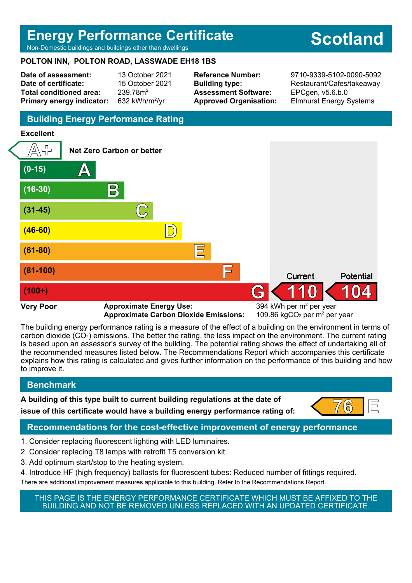## **Energy Performance Certificate**

Non-Domestic buildings and buildings other than dwellings

## **POLTON INN, POLTON ROAD, LASSWADE EH18 1BS**

**Date of assessment:** 13 October 2021 **Date of certificate:** 15 October 2021 Total conditioned area: 239.78m<sup>2</sup> **Primary energy indicator:** 

632 kWh/m $2/$ vr

**Assessment Software:** EPCgen, v5.6.b.0

**Reference Number:** 9710-9339-5102-0090-5092 **Building type:** Restaurant/Cafes/takeaway **Approved Organisation:** Elmhurst Energy Systems

## **Building Energy Performance Rating**

#### **Excellent**



**Approximate Carbon Dioxide Emissions:** 

The building energy performance rating is a measure of the effect of a building on the environment in terms of carbon dioxide (CO2) emissions. The better the rating, the less impact on the environment. The current rating is based upon an assessor's survey of the building. The potential rating shows the effect of undertaking all of the recommended measures listed below. The Recommendations Report which accompanies this certificate explains how this rating is calculated and gives further information on the performance of this building and how to improve it.

## **Benchmark**

**A building of this type built to current building regulations at the date of issue of this certificate would have a building energy performance rating of:**  $\begin{bmatrix} 76 \\ 1 \end{bmatrix}$ 



#### **Recommendations for the cost-effective improvement of energy performance**

- 1. Consider replacing fluorescent lighting with LED luminaires.
- 2. Consider replacing T8 lamps with retrofit T5 conversion kit.
- 3. Add optimum start/stop to the heating system.
- 4. Introduce HF (high frequency) ballasts for fluorescent tubes: Reduced number of fittings required. There are additional improvement measures applicable to this building. Refer to the Recommendations Report.

THIS PAGE IS THE ENERGY PERFORMANCE CERTIFICATE WHICH MUST BE AFFIXED TO THE BUILDING AND NOT BE REMOVED UNLESS REPLACED WITH AN UPDATED CERTIFICATE.

# **Scotland**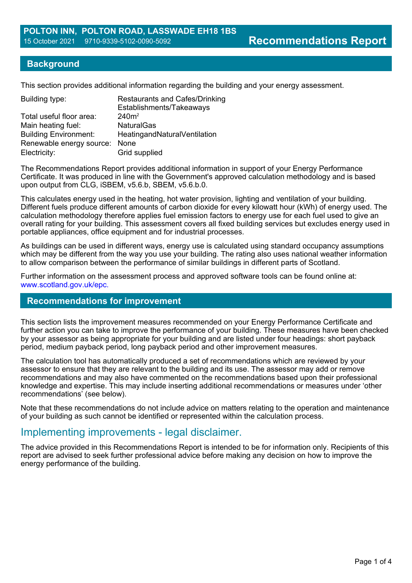#### **Background**

This section provides additional information regarding the building and your energy assessment.

| Building type:                | <b>Restaurants and Cafes/Drinking</b><br>Establishments/Takeaways |
|-------------------------------|-------------------------------------------------------------------|
| Total useful floor area:      | 240m <sup>2</sup>                                                 |
| Main heating fuel:            | <b>NaturalGas</b>                                                 |
| <b>Building Environment:</b>  | HeatingandNaturalVentilation                                      |
| Renewable energy source: None |                                                                   |
| Electricity:                  | Grid supplied                                                     |
|                               |                                                                   |

The Recommendations Report provides additional information in support of your Energy Performance Certificate. It was produced in line with the Government's approved calculation methodology and is based upon output from CLG, iSBEM, v5.6.b, SBEM, v5.6.b.0.

This calculates energy used in the heating, hot water provision, lighting and ventilation of your building. Different fuels produce different amounts of carbon dioxide for every kilowatt hour (kWh) of energy used. The calculation methodology therefore applies fuel emission factors to energy use for each fuel used to give an overall rating for your building. This assessment covers all fixed building services but excludes energy used in portable appliances, office equipment and for industrial processes.

As buildings can be used in different ways, energy use is calculated using standard occupancy assumptions which may be different from the way you use your building. The rating also uses national weather information to allow comparison between the performance of similar buildings in different parts of Scotland.

Further information on the assessment process and approved software tools can be found online at: www.scotland.gov.uk/epc.

#### **Recommendations for improvement**

This section lists the improvement measures recommended on your Energy Performance Certificate and further action you can take to improve the performance of your building. These measures have been checked by your assessor as being appropriate for your building and are listed under four headings: short payback period, medium payback period, long payback period and other improvement measures.

The calculation tool has automatically produced a set of recommendations which are reviewed by your assessor to ensure that they are relevant to the building and its use. The assessor may add or remove recommendations and may also have commented on the recommendations based upon their professional knowledge and expertise. This may include inserting additional recommendations or measures under 'other recommendations' (see below).

Note that these recommendations do not include advice on matters relating to the operation and maintenance of your building as such cannot be identified or represented within the calculation process.

## Implementing improvements - legal disclaimer.

The advice provided in this Recommendations Report is intended to be for information only. Recipients of this report are advised to seek further professional advice before making any decision on how to improve the energy performance of the building.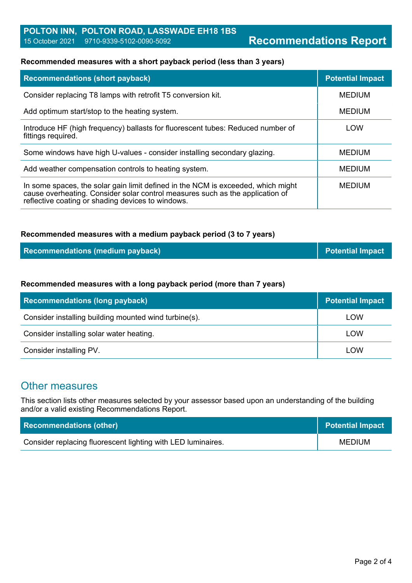#### **Recommended measures with a short payback period (less than 3 years)**

| <b>Recommendations (short payback)</b>                                                                                                                                                                                 | <b>Potential Impact</b> |
|------------------------------------------------------------------------------------------------------------------------------------------------------------------------------------------------------------------------|-------------------------|
| Consider replacing T8 lamps with retrofit T5 conversion kit.                                                                                                                                                           | <b>MEDIUM</b>           |
| Add optimum start/stop to the heating system.                                                                                                                                                                          | <b>MEDIUM</b>           |
| Introduce HF (high frequency) ballasts for fluorescent tubes: Reduced number of<br>fittings required.                                                                                                                  | LOW                     |
| Some windows have high U-values - consider installing secondary glazing.                                                                                                                                               | <b>MEDIUM</b>           |
| Add weather compensation controls to heating system.                                                                                                                                                                   | <b>MEDIUM</b>           |
| In some spaces, the solar gain limit defined in the NCM is exceeded, which might<br>cause overheating. Consider solar control measures such as the application of<br>reflective coating or shading devices to windows. | <b>MEDIUM</b>           |

#### **Recommended measures with a medium payback period (3 to 7 years)**

| <b>Recommendations (medium payback)</b> | <b>Potential Impact</b> |
|-----------------------------------------|-------------------------|
|-----------------------------------------|-------------------------|

#### **Recommended measures with a long payback period (more than 7 years)**

| <b>Recommendations (long payback)</b>                 | <b>Potential Impact</b> |
|-------------------------------------------------------|-------------------------|
| Consider installing building mounted wind turbine(s). | <b>LOW</b>              |
| Consider installing solar water heating.              | <b>LOW</b>              |
| Consider installing PV.                               | LOW                     |

## Other measures

This section lists other measures selected by your assessor based upon an understanding of the building and/or a valid existing Recommendations Report.

| <b>Recommendations (other)</b>                               | <b>Potential Impact</b> |
|--------------------------------------------------------------|-------------------------|
| Consider replacing fluorescent lighting with LED luminaires. | <b>MEDIUM</b>           |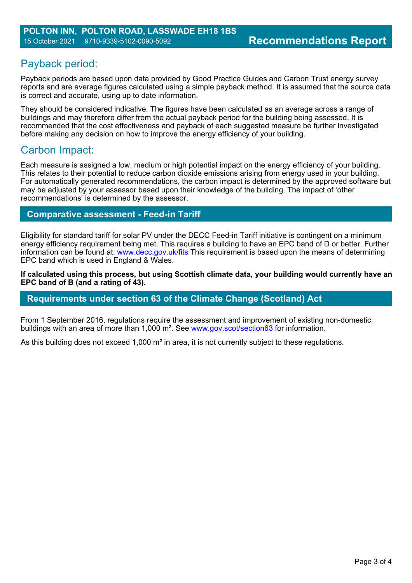## Payback period:

Payback periods are based upon data provided by Good Practice Guides and Carbon Trust energy survey reports and are average figures calculated using a simple payback method. It is assumed that the source data is correct and accurate, using up to date information.

They should be considered indicative. The figures have been calculated as an average across a range of buildings and may therefore differ from the actual payback period for the building being assessed. It is recommended that the cost effectiveness and payback of each suggested measure be further investigated before making any decision on how to improve the energy efficiency of your building.

## Carbon Impact:

Each measure is assigned a low, medium or high potential impact on the energy efficiency of your building. This relates to their potential to reduce carbon dioxide emissions arising from energy used in your building. For automatically generated recommendations, the carbon impact is determined by the approved software but may be adjusted by your assessor based upon their knowledge of the building. The impact of 'other recommendations' is determined by the assessor.

### **Comparative assessment - Feed-in Tariff**

Eligibility for standard tariff for solar PV under the DECC Feed-in Tariff initiative is contingent on a minimum energy efficiency requirement being met. This requires a building to have an EPC band of D or better. Further information can be found at: www.decc.gov.uk/fits This requirement is based upon the means of determining EPC band which is used in England & Wales.

**If calculated using this process, but using Scottish climate data, your building would currently have an EPC band of B (and a rating of 43).**

#### **Requirements under section 63 of the Climate Change (Scotland) Act**

From 1 September 2016, regulations require the assessment and improvement of existing non-domestic buildings with an area of more than 1,000 m². See www.gov.scot/section63 for information.

As this building does not exceed 1,000 m<sup>2</sup> in area, it is not currently subject to these regulations.